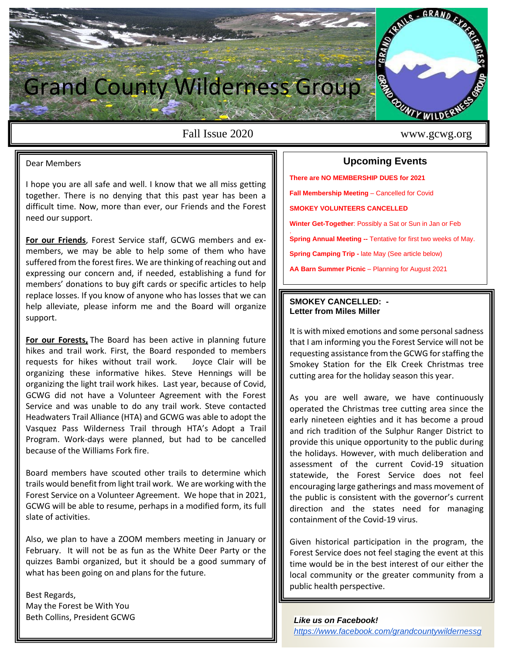

Fall Issue 2020 **ber 15th, the U.S. Forest Service and the Grand County Wilderness Grand County Wilderness Gra** 

Dear Members

I hope you are all safe and well. I know that we all miss getting together. There is no denying that this past year has been a difficult time. Now, more than ever, our Friends and the Forest need our support.

**For our Friends**, Forest Service staff, GCWG members and exmembers, we may be able to help some of them who have suffered from the forest fires. We are thinking of reaching out and expressing our concern and, if needed, establishing a fund for members' donations to buy gift cards or specific articles to help replace losses. If you know of anyone who has losses that we can help alleviate, please inform me and the Board will organize support.

**For our Forests,** The Board has been active in planning future hikes and trail work. First, the Board responded to members requests for hikes without trail work. Joyce Clair will be organizing these informative hikes. Steve Hennings will be organizing the light trail work hikes. Last year, because of Covid, GCWG did not have a Volunteer Agreement with the Forest Service and was unable to do any trail work. Steve contacted Headwaters Trail Alliance (HTA) and GCWG was able to adopt the Vasquez Pass Wilderness Trail through HTA's Adopt a Trail Program. Work-days were planned, but had to be cancelled because of the Williams Fork fire.

Board members have scouted other trails to determine which trails would benefit from light trail work. We are working with the Forest Service on a Volunteer Agreement. We hope that in 2021, GCWG will be able to resume, perhaps in a modified form, its full slate of activities.

Also, we plan to have a ZOOM members meeting in January or February. It will not be as fun as the White Deer Party or the quizzes Bambi organized, but it should be a good summary of what has been going on and plans for the future.

Best Regards, May the Forest be With You Beth Collins, President GCWG **COLLECT COLLECT COLLECT COLLECT COLLECT COLLECT COLLECT COLLECT COLLECT COLLECT COLLECT COLLECT COLLECT COLLECT COLLECT COLLECT COLLECT COLLECT COLLECT COLLECT COLLECT COLLECT COLLECT COLLECT** 

# **Upcoming Events**

**There are NO MEMBERSHIP DUES for 2021 Fall Membership Meeting** – Cancelled for Covid **SMOKEY VOLUNTEERS CANCELLED Winter Get-Together**: Possibly a Sat or Sun in Jan or Feb . **Spring Annual Meeting --** Tentative for first two weeks of May. **Spring Camping Trip -** late May (See article below) **AA Barn Summer Picnic** – Planning for August 2021

## **SMOKEY CANCELLED: - Letter from Miles Miller**

It is with mixed emotions and some personal sadness that I am informing you the Forest Service will not be requesting assistance from the GCWG for staffing the Smokey Station for the Elk Creek Christmas tree cutting area for the holiday season this year.

As you are well aware, we have continuously operated the Christmas tree cutting area since the early nineteen eighties and it has become a proud and rich tradition of the Sulphur Ranger District to provide this unique opportunity to the public during the holidays. However, with much deliberation and assessment of the current Covid-19 situation statewide, the Forest Service does not feel encouraging large gatherings and mass movement of the public is consistent with the governor's current direction and the states need for managing containment of the Covid-19 virus.

Given historical participation in the program, the Forest Service does not feel staging the event at this time would be in the best interest of our either the local community or the greater community from a public health perspective.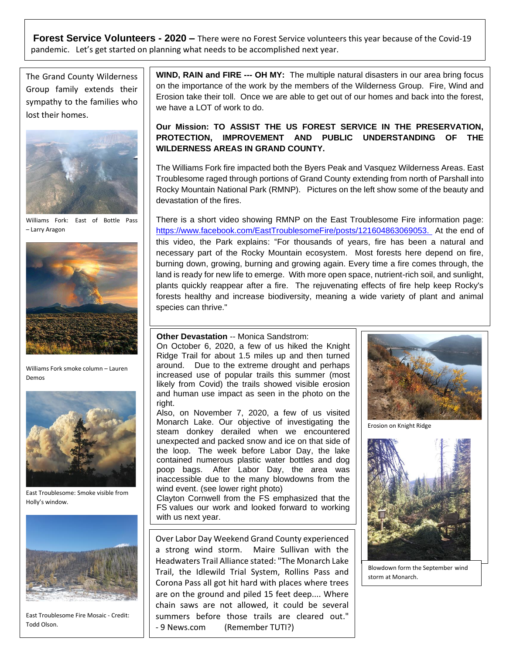**Forest Service Volunteers - 2020 –** There were no Forest Service volunteers this year because of the Covid-19 pandemic. Let's get started on planning what needs to be accomplished next year.

The Grand County Wilderness Group family extends their sympathy to the families who lost their homes.



Williams Fork: East of Bottle Pass – Larry Aragon



Williams Fork smoke column – Lauren Demos



East Troublesome: Smoke visible from Holly's window.



East Troublesome Fire Mosaic - Credit: Todd Olson.

**WIND, RAIN and FIRE --- OH MY:** The multiple natural disasters in our area bring focus on the importance of the work by the members of the Wilderness Group. Fire, Wind and Erosion take their toll. Once we are able to get out of our homes and back into the forest, we have a LOT of work to do.

## **Our Mission: TO ASSIST THE US FOREST SERVICE IN THE PRESERVATION, PROTECTION, IMPROVEMENT AND PUBLIC UNDERSTANDING OF THE WILDERNESS AREAS IN GRAND COUNTY.**

The Williams Fork fire impacted both the Byers Peak and Vasquez Wilderness Areas. East Troublesome raged through portions of Grand County extending from north of Parshall into Rocky Mountain National Park (RMNP). Pictures on the left show some of the beauty and devastation of the fires.

There is a short video showing RMNP on the East Troublesome Fire information page: https://www.facebook.com/EastTroublesomeFire/posts/121604863069053. At the end of this video, the Park explains: "For thousands of years, fire has been a natural and necessary part of the Rocky Mountain ecosystem. Most forests here depend on fire, burning down, growing, burning and growing again. Every time a fire comes through, the land is ready for new life to emerge. With more open space, nutrient-rich soil, and sunlight, plants quickly reappear after a fire. The rejuvenating effects of fire help keep Rocky's forests healthy and increase biodiversity, meaning a wide variety of plant and animal species can thrive."

### **Other Devastation** -- Monica Sandstrom:

On October 6, 2020, a few of us hiked the Knight Ridge Trail for about 1.5 miles up and then turned around. Due to the extreme drought and perhaps increased use of popular trails this summer (most likely from Covid) the trails showed visible erosion and human use impact as seen in the photo on the right.

Also, on November 7, 2020, a few of us visited Monarch Lake. Our objective of investigating the steam donkey derailed when we encountered unexpected and packed snow and ice on that side of the loop. The week before Labor Day, the lake contained numerous plastic water bottles and dog poop bags. After Labor Day, the area was inaccessible due to the many blowdowns from the wind event. (see lower right photo)

Clayton Cornwell from the FS emphasized that the FS values our work and looked forward to working with us next year.

Over Labor Day Weekend Grand County experienced a strong wind storm. Maire Sullivan with the Headwaters Trail Alliance stated: "The Monarch Lake Trail, the Idlewild Trial System, Rollins Pass and Corona Pass all got hit hard with places where trees are on the ground and piled 15 feet deep.... Where chain saws are not allowed, it could be several summers before those trails are cleared out." - 9 News.com (Remember TUTI?)



Erosion on Knight Ridge



Blowdown form the September wind storm at Monarch.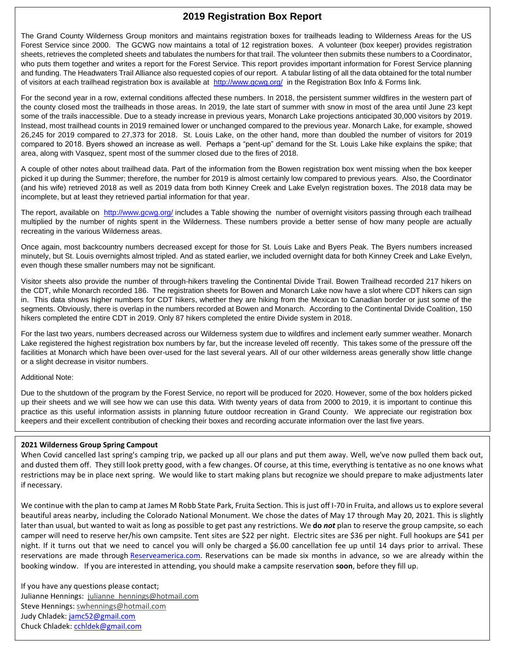# **2019 Registration Box Report**

The Grand County Wilderness Group monitors and maintains registration boxes for trailheads leading to Wilderness Areas for the US Forest Service since 2000. The GCWG now maintains a total of 12 registration boxes. A volunteer (box keeper) provides registration sheets, retrieves the completed sheets and tabulates the numbers for that trail. The volunteer then submits these numbers to a Coordinator, who puts them together and writes a report for the Forest Service. This report provides important information for Forest Service planning and funding. The Headwaters Trail Alliance also requested copies of our report. A tabular listing of all the data obtained for the total number of visitors at each trailhead registration box is available at http://www.gcwg.org/ in the Registration Box Info & Forms link.

For the second year in a row, external conditions affected these numbers. In 2018, the persistent summer wildfires in the western part of the county closed most the trailheads in those areas. In 2019, the late start of summer with snow in most of the area until June 23 kept some of the trails inaccessible. Due to a steady increase in previous years, Monarch Lake projections anticipated 30,000 visitors by 2019. Instead, most trailhead counts in 2019 remained lower or unchanged compared to the previous year. Monarch Lake, for example, showed 26,245 for 2019 compared to 27,373 for 2018. St. Louis Lake, on the other hand, more than doubled the number of visitors for 2019 compared to 2018. Byers showed an increase as well. Perhaps a "pent-up" demand for the St. Louis Lake hike explains the spike; that area, along with Vasquez, spent most of the summer closed due to the fires of 2018.

A couple of other notes about trailhead data. Part of the information from the Bowen registration box went missing when the box keeper picked it up during the Summer; therefore, the number for 2019 is almost certainly low compared to previous years. Also, the Coordinator (and his wife) retrieved 2018 as well as 2019 data from both Kinney Creek and Lake Evelyn registration boxes. The 2018 data may be incomplete, but at least they retrieved partial information for that year.

The report, available on http://www.gcwg.org/ includes a Table showing the number of overnight visitors passing through each trailhead multiplied by the number of nights spent in the Wilderness. These numbers provide a better sense of how many people are actually recreating in the various Wilderness areas.

Once again, most backcountry numbers decreased except for those for St. Louis Lake and Byers Peak. The Byers numbers increased minutely, but St. Louis overnights almost tripled. And as stated earlier, we included overnight data for both Kinney Creek and Lake Evelyn, even though these smaller numbers may not be significant.

Visitor sheets also provide the number of through-hikers traveling the Continental Divide Trail. Bowen Trailhead recorded 217 hikers on the CDT, while Monarch recorded 186. The registration sheets for Bowen and Monarch Lake now have a slot where CDT hikers can sign in. This data shows higher numbers for CDT hikers, whether they are hiking from the Mexican to Canadian border or just some of the segments. Obviously, there is overlap in the numbers recorded at Bowen and Monarch. According to the Continental Divide Coalition, 150 hikers completed the entire CDT in 2019. Only 87 hikers completed the entire Divide system in 2018.

For the last two years, numbers decreased across our Wilderness system due to wildfires and inclement early summer weather. Monarch Lake registered the highest registration box numbers by far, but the increase leveled off recently. This takes some of the pressure off the facilities at Monarch which have been over-used for the last several years. All of our other wilderness areas generally show little change or a slight decrease in visitor numbers.

### Additional Note:

Due to the shutdown of the program by the Forest Service, no report will be produced for 2020. However, some of the box holders picked up their sheets and we will see how we can use this data. With twenty years of data from 2000 to 2019, it is important to continue this practice as this useful information assists in planning future outdoor recreation in Grand County. We appreciate our registration box keepers and their excellent contribution of checking their boxes and recording accurate information over the last five years.

#### Stay tuned. **2021 Wilderness Group Spring Campout**

When Covid cancelled last spring's camping trip, we packed up all our plans and put them away. Well, we've now pulled them back out, and dusted them off. They still look pretty good, with a few changes. Of course, at this time, everything is tentative as no one knows what restrictions may be in place next spring. We would like to start making plans but recognize we should prepare to make adjustments later if necessary.

We continue with the plan to camp at James M Robb State Park, Fruita Section. This is just off I-70 in Fruita, and allows us to explore several beautiful areas nearby, including the Colorado National Monument. We chose the dates of May 17 through May 20, 2021. This is slightly later than usual, but wanted to wait as long as possible to get past any restrictions. We **do** *not* plan to reserve the group campsite, so each camper will need to reserve her/his own campsite. Tent sites are \$22 per night. Electric sites are \$36 per night. Full hookups are \$41 per night. If it turns out that we need to cancel you will only be charged a \$6.00 cancellation fee up until 14 days prior to arrival. These reservations are made through Reserveamerica.com. Reservations can be made six months in advance, so we are already within the booking window. If you are interested in attending, you should make a campsite reservation **soon**, before they fill up.

If you have any questions please contact; Julianne Hennings: julianne\_hennings@hotmail.com Steve Hennings: swhennings@hotmail.com Judy Chladek: jamc52@gmail.com Chuck Chladek: cchldek@gmail.com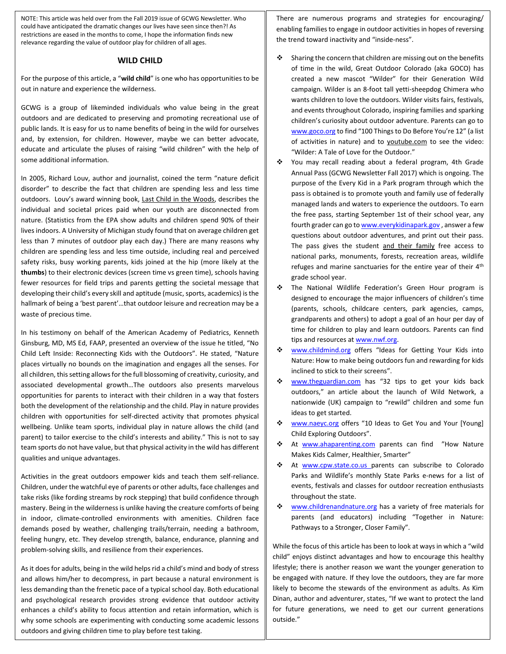NOTE: This article was held over from the Fall 2019 issue of GCWG Newsletter. Who could have anticipated the dramatic changes our lives have seen since then?! As restrictions are eased in the months to come, I hope the information finds new relevance regarding the value of outdoor play for children of all ages.

#### **WILD CHILD**

For the purpose of this article, a "**wild child**" is one who has opportunities to be out in nature and experience the wilderness.

GCWG is a group of likeminded individuals who value being in the great outdoors and are dedicated to preserving and promoting recreational use of public lands. It is easy for us to name benefits of being in the wild for ourselves and, by extension, for children. However, maybe we can better advocate, educate and articulate the pluses of raising "wild children" with the help of some additional information.

In 2005, Richard Louv, author and journalist, coined the term "nature deficit disorder" to describe the fact that children are spending less and less time outdoors. Louv's award winning book, Last Child in the Woods, describes the individual and societal prices paid when our youth are disconnected from nature. (Statistics from the EPA show adults and children spend 90% of their lives indoors. A University of Michigan study found that on average children get less than 7 minutes of outdoor play each day.) There are many reasons why children are spending less and less time outside, including real and perceived safety risks, busy working parents, kids joined at the hip (more likely at the **thumbs**) to their electronic devices (screen time vs green time), schools having fewer resources for field trips and parents getting the societal message that developing their child's every skill and aptitude (music, sports, academics) is the hallmark of being a 'best parent'…that outdoor leisure and recreation may be a waste of precious time.

In his testimony on behalf of the American Academy of Pediatrics, Kenneth Ginsburg, MD, MS Ed, FAAP, presented an overview of the issue he titled, "No Child Left Inside: Reconnecting Kids with the Outdoors". He stated, "Nature places virtually no bounds on the imagination and engages all the senses. For all children, this setting allows for the full blossoming of creativity, curiosity, and associated developmental growth…The outdoors also presents marvelous opportunities for parents to interact with their children in a way that fosters both the development of the relationship and the child. Play in nature provides children with opportunities for self-directed activity that promotes physical wellbeing. Unlike team sports, individual play in nature allows the child (and parent) to tailor exercise to the child's interests and ability." This is not to say team sports do not have value, but that physical activity in the wild has different qualities and unique advantages.

Activities in the great outdoors empower kids and teach them self-reliance. Children, under the watchful eye of parents or other adults, face challenges and take risks (like fording streams by rock stepping) that build confidence through mastery. Being in the wilderness is unlike having the creature comforts of being in indoor, climate-controlled environments with amenities. Children face demands posed by weather, challenging trails/terrain, needing a bathroom, feeling hungry, etc. They develop strength, balance, endurance, planning and problem-solving skills, and resilience from their experiences.

As it does for adults, being in the wild helps rid a child's mind and body of stress and allows him/her to decompress, in part because a natural environment is less demanding than the frenetic pace of a typical school day. Both educational and psychological research provides strong evidence that outdoor activity enhances a child's ability to focus attention and retain information, which is why some schools are experimenting with conducting some academic lessons outdoors and giving children time to play before test taking.

There are numerous programs and strategies for encouraging/ enabling families to engage in outdoor activities in hopes of reversing the trend toward inactivity and "inside-ness".

- ❖ Sharing the concern that children are missing out on the benefits of time in the wild, Great Outdoor Colorado (aka GOCO) has created a new mascot "Wilder" for their Generation Wild campaign. Wilder is an 8-foot tall yetti-sheepdog Chimera who wants children to love the outdoors. Wilder visits fairs, festivals, and events throughout Colorado, inspiring families and sparking children's curiosity about outdoor adventure. Parents can go to www.goco.org to find "100 Things to Do Before You're 12" (a list of activities in nature) and to youtube.com to see the video: "Wilder: A Tale of Love for the Outdoor."
- ❖ You may recall reading about a federal program, 4th Grade Annual Pass (GCWG Newsletter Fall 2017) which is ongoing. The purpose of the Every Kid in a Park program through which the pass is obtained is to promote youth and family use of federally managed lands and waters to experience the outdoors. To earn the free pass, starting September 1st of their school year, any fourth grader can go to www.everykidinapark.gov, answer a few questions about outdoor adventures, and print out their pass. The pass gives the student and their family free access to national parks, monuments, forests, recreation areas, wildlife refuges and marine sanctuaries for the entire year of their 4<sup>th</sup> grade school year.
- ❖ The National Wildlife Federation's Green Hour program is designed to encourage the major influencers of children's time (parents, schools, childcare centers, park agencies, camps, grandparents and others) to adopt a goal of an hour per day of time for children to play and learn outdoors. Parents can find tips and resources at www.nwf.org.
- ❖ www.childmind.org offers "Ideas for Getting Your Kids into Nature: How to make being outdoors fun and rewarding for kids inclined to stick to their screens".
- ❖ www.theguardian.com has "32 tips to get your kids back outdoors," an article about the launch of Wild Network, a nationwide (UK) campaign to "rewild" children and some fun ideas to get started.
- ❖ www.naeyc.org offers "10 Ideas to Get You and Your [Young] Child Exploring Outdoors".
- ❖ At www.ahaparenting.com parents can find "How Nature Makes Kids Calmer, Healthier, Smarter"
- ❖ At www.cpw.state.co.us parents can subscribe to Colorado Parks and Wildlife's monthly State Parks e-news for a list of events, festivals and classes for outdoor recreation enthusiasts throughout the state.
- ❖ www.childrenandnature.org has a variety of free materials for parents (and educators) including "Together in Nature: Pathways to a Stronger, Closer Family".

While the focus of this article has been to look at ways in which a "wild child" enjoys distinct advantages and how to encourage this healthy lifestyle; there is another reason we want the younger generation to be engaged with nature. If they love the outdoors, they are far more likely to become the stewards of the environment as adults. As Kim Dinan, author and adventurer, states, "If we want to protect the land for future generations, we need to get our current generations outside."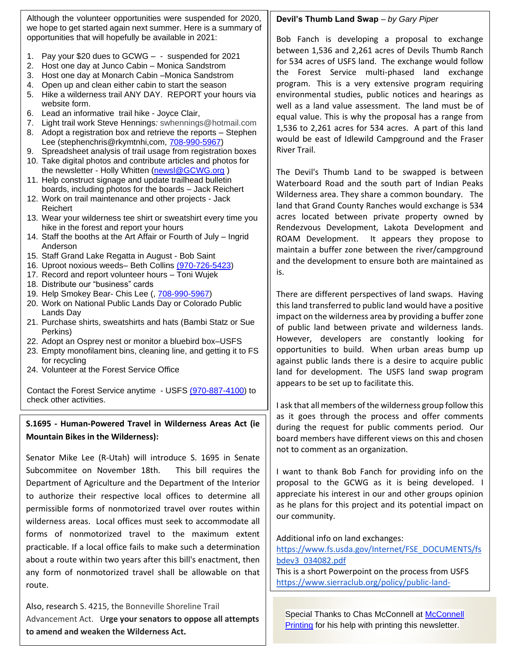Although the volunteer opportunities were suspended for 2020, we hope to get started again next summer. Here is a summary of opportunities that will hopefully be available in 2021:

- 1. Pay your \$20 dues to GCWG - suspended for 2021
- 2. Host one day at Junco Cabin Monica Sandstrom
- 3. Host one day at Monarch Cabin –Monica Sandstrom
- 4. Open up and clean either cabin to start the season
- 5. Hike a wilderness trail ANY DAY. REPORT your hours via website form.
- 6. Lead an informative trail hike Joyce Clair,
- 7. Light trail work Steve Hennings*:* swhennings@hotmail.com
- 8. Adopt a registration box and retrieve the reports Stephen Lee (stephenchris@rkymtnhi,com, 708-990-5967)
- 9. Spreadsheet analysis of trail usage from registration boxes
- 10. Take digital photos and contribute articles and photos for the newsletter - Holly Whitten (newsl@GCWG.org )
- 11. Help construct signage and update trailhead bulletin boards, including photos for the boards – Jack Reichert
- 12. Work on trail maintenance and other projects Jack Reichert
- 13. Wear your wilderness tee shirt or sweatshirt every time you hike in the forest and report your hours
- 14. Staff the booths at the Art Affair or Fourth of July Ingrid Anderson
- 15. Staff Grand Lake Regatta in August Bob Saint
- 16. Uproot noxious weeds– Beth Collins (970-726-5423)
- 17. Record and report volunteer hours Toni Wujek
- 18. Distribute our "business" cards
- 19. Help Smokey Bear- Chis Lee (, 708-990-5967)
- 20. Work on National Public Lands Day or Colorado Public Lands Day
- 21. Purchase shirts, sweatshirts and hats (Bambi Statz or Sue Perkins)
- 22. Adopt an Osprey nest or monitor a bluebird box–USFS
- 23. Empty monofilament bins, cleaning line, and getting it to FS for recycling
- 24. Volunteer at the Forest Service Office

Contact the Forest Service anytime - USFS (970-887-4100) to check other activities.

# **S.1695 - Human-Powered Travel in Wilderness Areas Act (ie Mountain Bikes in the Wilderness):**

Senator Mike Lee (R-Utah) will introduce S. 1695 in Senate Subcommitee on November 18th. This bill requires the Department of Agriculture and the Department of the Interior to authorize their respective local offices to determine all permissible forms of nonmotorized travel over routes within wilderness areas.Local offices must seek to accommodate all forms of nonmotorized travel to the maximum extent practicable. If a local office fails to make such a determination about a route within two years after this bill's enactment, then any form of nonmotorized travel shall be allowable on that route.

Also, research S. 4215, the Bonneville Shoreline Trail Advancement Act. U**rge your senators to oppose all attempts to amend and weaken the Wilderness Act.** 

## **Devil's Thumb Land Swap** – *by Gary Piper*

Bob Fanch is developing a proposal to exchange between 1,536 and 2,261 acres of Devils Thumb Ranch for 534 acres of USFS land. The exchange would follow the Forest Service multi-phased land exchange program. This is a very extensive program requiring environmental studies, public notices and hearings as well as a land value assessment. The land must be of equal value. This is why the proposal has a range from 1,536 to 2,261 acres for 534 acres. A part of this land would be east of Idlewild Campground and the Fraser River Trail.

The Devil's Thumb Land to be swapped is between Waterboard Road and the south part of Indian Peaks Wilderness area. They share a common boundary. The land that Grand County Ranches would exchange is 534 acres located between private property owned by Rendezvous Development, Lakota Development and ROAM Development. It appears they propose to maintain a buffer zone between the river/campground and the development to ensure both are maintained as is.

There are different perspectives of land swaps. Having this land transferred to public land would have a positive impact on the wilderness area by providing a buffer zone of public land between private and wilderness lands. However, developers are constantly looking for opportunities to build. When urban areas bump up against public lands there is a desire to acquire public land for development. The USFS land swap program appears to be set up to facilitate this.

I ask that all members of the wilderness group follow this as it goes through the process and offer comments during the request for public comments period. Our board members have different views on this and chosen not to comment as an organization.

I want to thank Bob Fanch for providing info on the proposal to the GCWG as it is being developed. I appreciate his interest in our and other groups opinion as he plans for this project and its potential impact on our community.

Additional info on land exchanges:

exchange

https://www.fs.usda.gov/Internet/FSE\_DOCUMENTS/fs bdev3\_034082.pdf

This is a short Powerpoint on the process from USFS https://www.sierraclub.org/policy/public-land-

Special Thanks to Chas McConnell at McConnell Printing for his help with printing this newsletter.